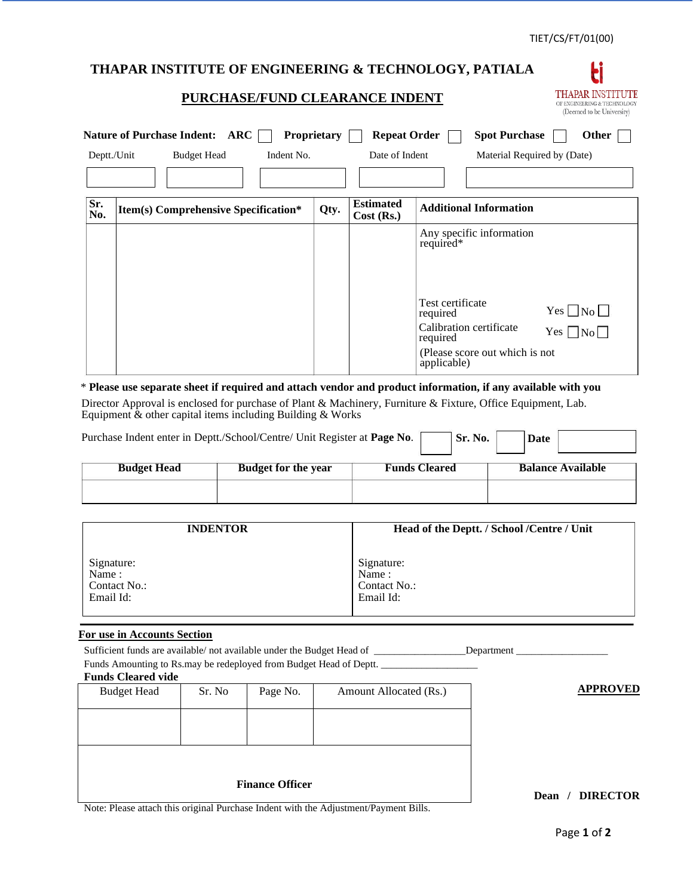E THAPAR INSTITUTE OF ENGINEERING & TECHNOLOGY (Deemed to be University)

# **THAPAR INSTITUTE OF ENGINEERING & TECHNOLOGY, PATIALA**

## **PURCHASE/FUND CLEARANCE INDENT**

| <b>Nature of Purchase Indent:</b><br>ARC<br>Proprietary<br><b>Repeat Order</b><br><b>Spot Purchase</b><br><b>Other</b> |                                      |      |                                |                                                             |  |
|------------------------------------------------------------------------------------------------------------------------|--------------------------------------|------|--------------------------------|-------------------------------------------------------------|--|
| Deptt./Unit                                                                                                            | <b>Budget Head</b><br>Indent No.     |      | Date of Indent                 | Material Required by (Date)                                 |  |
|                                                                                                                        |                                      |      |                                |                                                             |  |
| Sr.<br>No.                                                                                                             | Item(s) Comprehensive Specification* | Qty. | <b>Estimated</b><br>Cost (Rs.) | <b>Additional Information</b>                               |  |
|                                                                                                                        |                                      |      |                                | Any specific information<br>required*                       |  |
|                                                                                                                        |                                      |      |                                | Test certificate<br>$Yes \Box No \Box$<br>required          |  |
|                                                                                                                        |                                      |      |                                | Calibration certificate<br>$Yes$  <br>$ N_{0} $<br>required |  |
|                                                                                                                        |                                      |      |                                | (Please score out which is not<br>applicable)               |  |

\* **Please use separate sheet if required and attach vendor and product information, if any available with you** Director Approval is enclosed for purchase of Plant & Machinery, Furniture & Fixture, Office Equipment, Lab. Equipment  $\&$  other capital items including Building  $\&$  Works

| Purchase Indent enter in Deptt./School/Centre/ Unit Register at Page No.<br>Sr. No.<br>Date |                            |                      |                          |  |  |  |
|---------------------------------------------------------------------------------------------|----------------------------|----------------------|--------------------------|--|--|--|
| <b>Budget Head</b>                                                                          | <b>Budget for the year</b> | <b>Funds Cleared</b> | <b>Balance Available</b> |  |  |  |
|                                                                                             |                            |                      |                          |  |  |  |

| <b>INDENTOR</b> | Head of the Deptt. / School /Centre / Unit |
|-----------------|--------------------------------------------|
| Signature:      | Signature:                                 |
| Name:           | Name:                                      |
| Contact No.:    | Contact No.:                               |
| Email Id:       | Email Id:                                  |

### **For use in Accounts Section**

Sufficient funds are available/ not available under the Budget Head of \_\_\_\_\_\_\_\_\_\_\_\_\_\_\_\_\_\_Department \_\_\_\_\_\_\_\_\_\_\_\_\_\_\_\_\_\_ Funds Amounting to Rs.may be redeployed from Budget Head of Deptt. \_\_\_\_\_\_\_\_\_\_\_\_\_

#### **Funds Cleared vide**

| <b>Budget Head</b>                                              | Sr. No                  | Page No. | Amount Allocated (Rs.) | <b>APPROVED</b> |
|-----------------------------------------------------------------|-------------------------|----------|------------------------|-----------------|
|                                                                 |                         |          |                        |                 |
|                                                                 |                         |          |                        |                 |
|                                                                 |                         |          |                        |                 |
|                                                                 |                         |          |                        |                 |
|                                                                 |                         |          |                        |                 |
| $\mathbf{M}$ $\mathbf{M}$<br>$\sim$ $\sim$ $\sim$ $\sim$ $\sim$ | <b>DIRECTOR</b><br>Dean |          |                        |                 |

# **Dean / DIRECTOR**

Note: Please attach this original Purchase Indent with the Adjustment/Payment Bills.